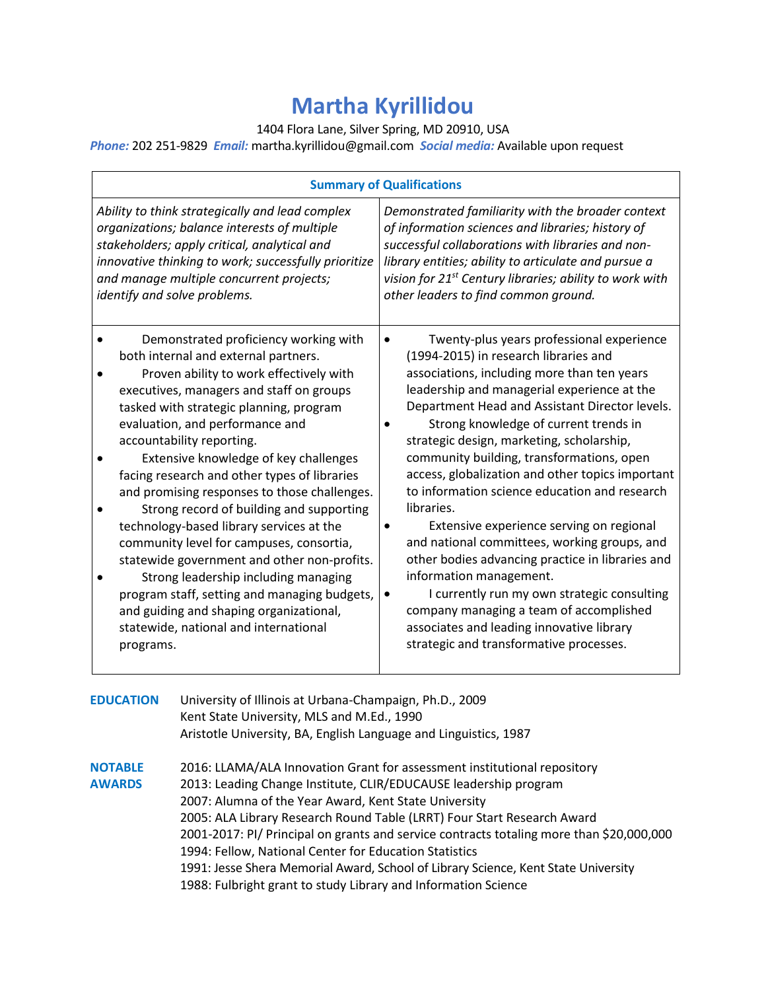# **Martha Kyrillidou**

1404 Flora Lane, Silver Spring, MD 20910, USA

*Phone:* 202 251-9829 *Email:* martha.kyrillidou@gmail.com *Social media:* Available upon request

| <b>Summary of Qualifications</b>                                                                                                                                                                                                                                                                                                                                                                                                                                                                                                                                                                                                                                                                                                                                                                     |                                                                                                                                                                                                                                                                                                                                                                                                                                                                                                                                                                                                                                                                                                                                                                                                                                                                                              |
|------------------------------------------------------------------------------------------------------------------------------------------------------------------------------------------------------------------------------------------------------------------------------------------------------------------------------------------------------------------------------------------------------------------------------------------------------------------------------------------------------------------------------------------------------------------------------------------------------------------------------------------------------------------------------------------------------------------------------------------------------------------------------------------------------|----------------------------------------------------------------------------------------------------------------------------------------------------------------------------------------------------------------------------------------------------------------------------------------------------------------------------------------------------------------------------------------------------------------------------------------------------------------------------------------------------------------------------------------------------------------------------------------------------------------------------------------------------------------------------------------------------------------------------------------------------------------------------------------------------------------------------------------------------------------------------------------------|
| Ability to think strategically and lead complex<br>organizations; balance interests of multiple<br>stakeholders; apply critical, analytical and<br>innovative thinking to work; successfully prioritize<br>and manage multiple concurrent projects;<br>identify and solve problems.                                                                                                                                                                                                                                                                                                                                                                                                                                                                                                                  | Demonstrated familiarity with the broader context<br>of information sciences and libraries; history of<br>successful collaborations with libraries and non-<br>library entities; ability to articulate and pursue a<br>vision for 21 <sup>st</sup> Century libraries; ability to work with<br>other leaders to find common ground.                                                                                                                                                                                                                                                                                                                                                                                                                                                                                                                                                           |
| Demonstrated proficiency working with<br>both internal and external partners.<br>Proven ability to work effectively with<br>executives, managers and staff on groups<br>tasked with strategic planning, program<br>evaluation, and performance and<br>accountability reporting.<br>Extensive knowledge of key challenges<br>facing research and other types of libraries<br>and promising responses to those challenges.<br>Strong record of building and supporting<br>technology-based library services at the<br>community level for campuses, consortia,<br>statewide government and other non-profits.<br>Strong leadership including managing<br>program staff, setting and managing budgets,<br>and guiding and shaping organizational,<br>statewide, national and international<br>programs. | Twenty-plus years professional experience<br>$\bullet$<br>(1994-2015) in research libraries and<br>associations, including more than ten years<br>leadership and managerial experience at the<br>Department Head and Assistant Director levels.<br>Strong knowledge of current trends in<br>strategic design, marketing, scholarship,<br>community building, transformations, open<br>access, globalization and other topics important<br>to information science education and research<br>libraries.<br>Extensive experience serving on regional<br>$\bullet$<br>and national committees, working groups, and<br>other bodies advancing practice in libraries and<br>information management.<br>I currently run my own strategic consulting<br>$\bullet$<br>company managing a team of accomplished<br>associates and leading innovative library<br>strategic and transformative processes. |

**EDUCATION** University of Illinois at Urbana-Champaign, Ph.D., 2009 Kent State University, MLS and M.Ed., 1990 Aristotle University, BA, English Language and Linguistics, 1987 **NOTABLE** 2016: LLAMA/ALA Innovation Grant for assessment institutional repository **AWARDS** 2013: Leading Change Institute, CLIR/EDUCAUSE leadership program 2007: Alumna of the Year Award, Kent State University 2005: ALA Library Research Round Table (LRRT) Four Start Research Award 2001-2017: PI/ Principal on grants and service contracts totaling more than \$20,000,000 1994: Fellow, National Center for Education Statistics 1991: Jesse Shera Memorial Award, School of Library Science, Kent State University 1988: Fulbright grant to study Library and Information Science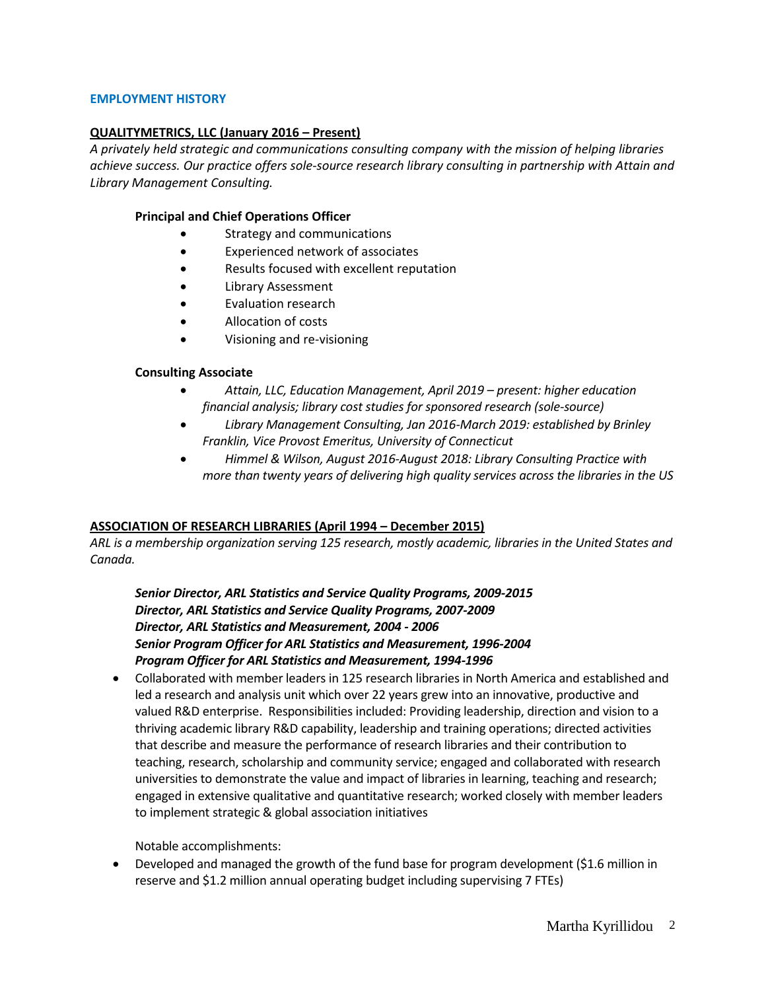#### **EMPLOYMENT HISTORY**

## **QUALITYMETRICS, LLC (January 2016 – Present)**

*A privately held strategic and communications consulting company with the mission of helping libraries achieve success. Our practice offers sole-source research library consulting in partnership with Attain and Library Management Consulting.*

#### **Principal and Chief Operations Officer**

- Strategy and communications
- Experienced network of associates
- Results focused with excellent reputation
- Library Assessment
- Evaluation research
- Allocation of costs
- Visioning and re-visioning

#### **Consulting Associate**

- *Attain, LLC, Education Management, April 2019 – present: higher education financial analysis; library cost studies for sponsored research (sole-source)*
- *Library Management Consulting, Jan 2016-March 2019: established by Brinley Franklin, Vice Provost Emeritus, University of Connecticut*
- *Himmel & Wilson, August 2016-August 2018: Library Consulting Practice with more than twenty years of delivering high quality services across the libraries in the US*

#### **ASSOCIATION OF RESEARCH LIBRARIES (April 1994 – December 2015)**

*ARL is a membership organization serving 125 research, mostly academic, libraries in the United States and Canada.*

*Senior Director, ARL Statistics and Service Quality Programs, 2009-2015 Director, ARL Statistics and Service Quality Programs, 2007-2009 Director, ARL Statistics and Measurement, 2004 - 2006 Senior Program Officer for ARL Statistics and Measurement, 1996-2004 Program Officer for ARL Statistics and Measurement, 1994-1996*

• Collaborated with member leaders in 125 research libraries in North America and established and led a research and analysis unit which over 22 years grew into an innovative, productive and valued R&D enterprise. Responsibilities included: Providing leadership, direction and vision to a thriving academic library R&D capability, leadership and training operations; directed activities that describe and measure the performance of research libraries and their contribution to teaching, research, scholarship and community service; engaged and collaborated with research universities to demonstrate the value and impact of libraries in learning, teaching and research; engaged in extensive qualitative and quantitative research; worked closely with member leaders to implement strategic & global association initiatives

Notable accomplishments:

• Developed and managed the growth of the fund base for program development (\$1.6 million in reserve and \$1.2 million annual operating budget including supervising 7 FTEs)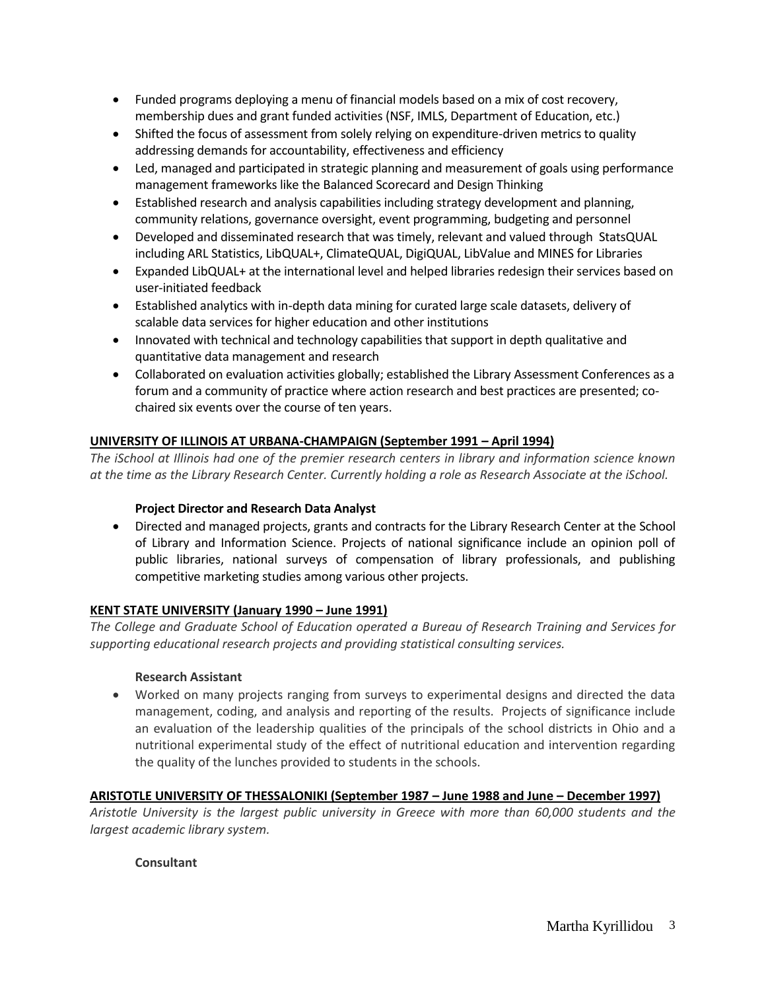- Funded programs deploying a menu of financial models based on a mix of cost recovery, membership dues and grant funded activities (NSF, IMLS, Department of Education, etc.)
- Shifted the focus of assessment from solely relying on expenditure-driven metrics to quality addressing demands for accountability, effectiveness and efficiency
- Led, managed and participated in strategic planning and measurement of goals using performance management frameworks like the Balanced Scorecard and Design Thinking
- Established research and analysis capabilities including strategy development and planning, community relations, governance oversight, event programming, budgeting and personnel
- Developed and disseminated research that was timely, relevant and valued through StatsQUAL including ARL Statistics, LibQUAL+, ClimateQUAL, DigiQUAL, LibValue and MINES for Libraries
- Expanded LibQUAL+ at the international level and helped libraries redesign their services based on user-initiated feedback
- Established analytics with in-depth data mining for curated large scale datasets, delivery of scalable data services for higher education and other institutions
- Innovated with technical and technology capabilities that support in depth qualitative and quantitative data management and research
- Collaborated on evaluation activities globally; established the Library Assessment Conferences as a forum and a community of practice where action research and best practices are presented; cochaired six events over the course of ten years.

# **UNIVERSITY OF ILLINOIS AT URBANA-CHAMPAIGN (September 1991 – April 1994)**

*The iSchool at Illinois had one of the premier research centers in library and information science known at the time as the Library Research Center. Currently holding a role as Research Associate at the iSchool.*

# **Project Director and Research Data Analyst**

• Directed and managed projects, grants and contracts for the Library Research Center at the School of Library and Information Science. Projects of national significance include an opinion poll of public libraries, national surveys of compensation of library professionals, and publishing competitive marketing studies among various other projects.

# **KENT STATE UNIVERSITY (January 1990 – June 1991)**

*The College and Graduate School of Education operated a Bureau of Research Training and Services for supporting educational research projects and providing statistical consulting services.*

# **Research Assistant**

• Worked on many projects ranging from surveys to experimental designs and directed the data management, coding, and analysis and reporting of the results. Projects of significance include an evaluation of the leadership qualities of the principals of the school districts in Ohio and a nutritional experimental study of the effect of nutritional education and intervention regarding the quality of the lunches provided to students in the schools.

# **ARISTOTLE UNIVERSITY OF THESSALONIKI (September 1987 – June 1988 and June – December 1997)**

*Aristotle University is the largest public university in Greece with more than 60,000 students and the largest academic library system.*

## **Consultant**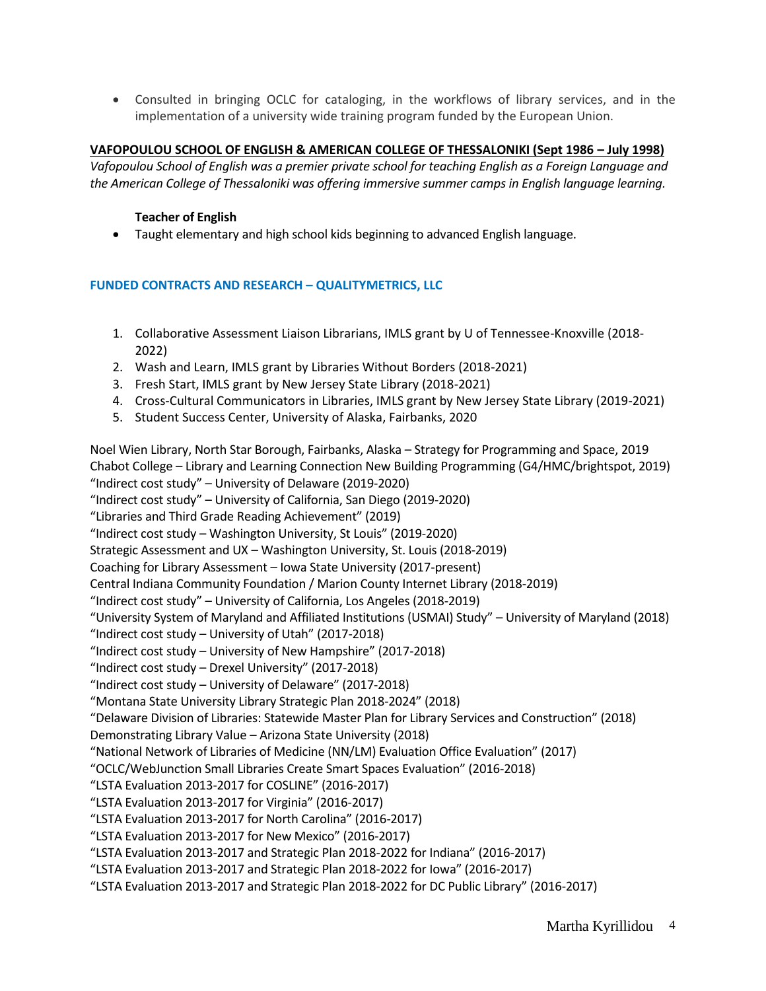• Consulted in bringing OCLC for cataloging, in the workflows of library services, and in the implementation of a university wide training program funded by the European Union.

#### **VAFOPOULOU SCHOOL OF ENGLISH & AMERICAN COLLEGE OF THESSALONIKI (Sept 1986 – July 1998)**

*Vafopoulou School of English was a premier private school for teaching English as a Foreign Language and the American College of Thessaloniki was offering immersive summer camps in English language learning.*

#### **Teacher of English**

• Taught elementary and high school kids beginning to advanced English language.

## **FUNDED CONTRACTS AND RESEARCH – QUALITYMETRICS, LLC**

- 1. Collaborative Assessment Liaison Librarians, IMLS grant by U of Tennessee-Knoxville (2018- 2022)
- 2. Wash and Learn, IMLS grant by Libraries Without Borders (2018-2021)
- 3. Fresh Start, IMLS grant by New Jersey State Library (2018-2021)
- 4. Cross-Cultural Communicators in Libraries, IMLS grant by New Jersey State Library (2019-2021)
- 5. Student Success Center, University of Alaska, Fairbanks, 2020

Noel Wien Library, North Star Borough, Fairbanks, Alaska – Strategy for Programming and Space, 2019 Chabot College – Library and Learning Connection New Building Programming (G4/HMC/brightspot, 2019) "Indirect cost study" – University of Delaware (2019-2020) "Indirect cost study" – University of California, San Diego (2019-2020) "Libraries and Third Grade Reading Achievement" (2019) "Indirect cost study – Washington University, St Louis" (2019-2020) Strategic Assessment and UX – Washington University, St. Louis (2018-2019) Coaching for Library Assessment – Iowa State University (2017-present) Central Indiana Community Foundation / Marion County Internet Library (2018-2019) "Indirect cost study" – University of California, Los Angeles (2018-2019) "University System of Maryland and Affiliated Institutions (USMAI) Study" – University of Maryland (2018) "Indirect cost study – University of Utah" (2017-2018) "Indirect cost study – University of New Hampshire" (2017-2018) "Indirect cost study – Drexel University" (2017-2018) "Indirect cost study – University of Delaware" (2017-2018) "Montana State University Library Strategic Plan 2018-2024" (2018) "Delaware Division of Libraries: Statewide Master Plan for Library Services and Construction" (2018) Demonstrating Library Value – Arizona State University (2018) "National Network of Libraries of Medicine (NN/LM) Evaluation Office Evaluation" (2017) "OCLC/WebJunction Small Libraries Create Smart Spaces Evaluation" (2016-2018) "LSTA Evaluation 2013-2017 for COSLINE" (2016-2017) "LSTA Evaluation 2013-2017 for Virginia" (2016-2017) "LSTA Evaluation 2013-2017 for North Carolina" (2016-2017) "LSTA Evaluation 2013-2017 for New Mexico" (2016-2017) "LSTA Evaluation 2013-2017 and Strategic Plan 2018-2022 for Indiana" (2016-2017) "LSTA Evaluation 2013-2017 and Strategic Plan 2018-2022 for Iowa" (2016-2017) "LSTA Evaluation 2013-2017 and Strategic Plan 2018-2022 for DC Public Library" (2016-2017)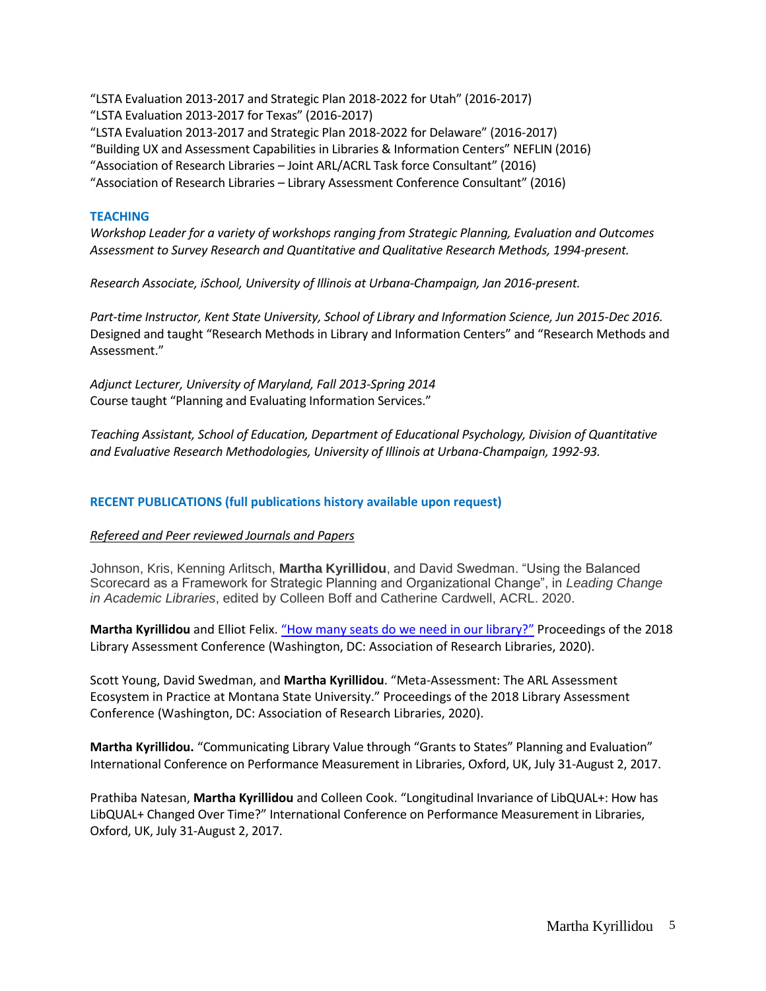"LSTA Evaluation 2013-2017 and Strategic Plan 2018-2022 for Utah" (2016-2017) "LSTA Evaluation 2013-2017 for Texas" (2016-2017) "LSTA Evaluation 2013-2017 and Strategic Plan 2018-2022 for Delaware" (2016-2017) "Building UX and Assessment Capabilities in Libraries & Information Centers" NEFLIN (2016) "Association of Research Libraries – Joint ARL/ACRL Task force Consultant" (2016) "Association of Research Libraries – Library Assessment Conference Consultant" (2016)

## **TEACHING**

*Workshop Leader for a variety of workshops ranging from Strategic Planning, Evaluation and Outcomes Assessment to Survey Research and Quantitative and Qualitative Research Methods, 1994-present.*

*Research Associate, iSchool, University of Illinois at Urbana-Champaign, Jan 2016-present.*

*Part-time Instructor, Kent State University, School of Library and Information Science, Jun 2015-Dec 2016.*  Designed and taught "Research Methods in Library and Information Centers" and "Research Methods and Assessment."

*Adjunct Lecturer, University of Maryland, Fall 2013-Spring 2014* Course taught "Planning and Evaluating Information Services."

*Teaching Assistant, School of Education, Department of Educational Psychology, Division of Quantitative and Evaluative Research Methodologies, University of Illinois at Urbana-Champaign, 1992-93.*

## **RECENT PUBLICATIONS (full publications history available upon request)**

## *Refereed and Peer reviewed Journals and Papers*

Johnson, Kris, Kenning Arlitsch, **Martha Kyrillidou**, and David Swedman. "Using the Balanced Scorecard as a Framework for Strategic Planning and Organizational Change", in *Leading Change in Academic Libraries*, edited by Colleen Boff and Catherine Cardwell, ACRL. 2020.

**Martha Kyrillidou** and Elliot Felix. "[How many seats do we need in our library?](https://www.brightspotstrategy.com/library-design-seating-areas-utilization/)" Proceedings of the 2018 Library Assessment Conference (Washington, DC: Association of Research Libraries, 2020).

Scott Young, David Swedman, and **Martha Kyrillidou**. "Meta-Assessment: The ARL Assessment Ecosystem in Practice at Montana State University." Proceedings of the 2018 Library Assessment Conference (Washington, DC: Association of Research Libraries, 2020).

**Martha Kyrillidou.** "Communicating Library Value through "Grants to States" Planning and Evaluation" International Conference on Performance Measurement in Libraries, Oxford, UK, July 31-August 2, 2017.

Prathiba Natesan, **Martha Kyrillidou** and Colleen Cook. "Longitudinal Invariance of LibQUAL+: How has LibQUAL+ Changed Over Time?" International Conference on Performance Measurement in Libraries, Oxford, UK, July 31-August 2, 2017.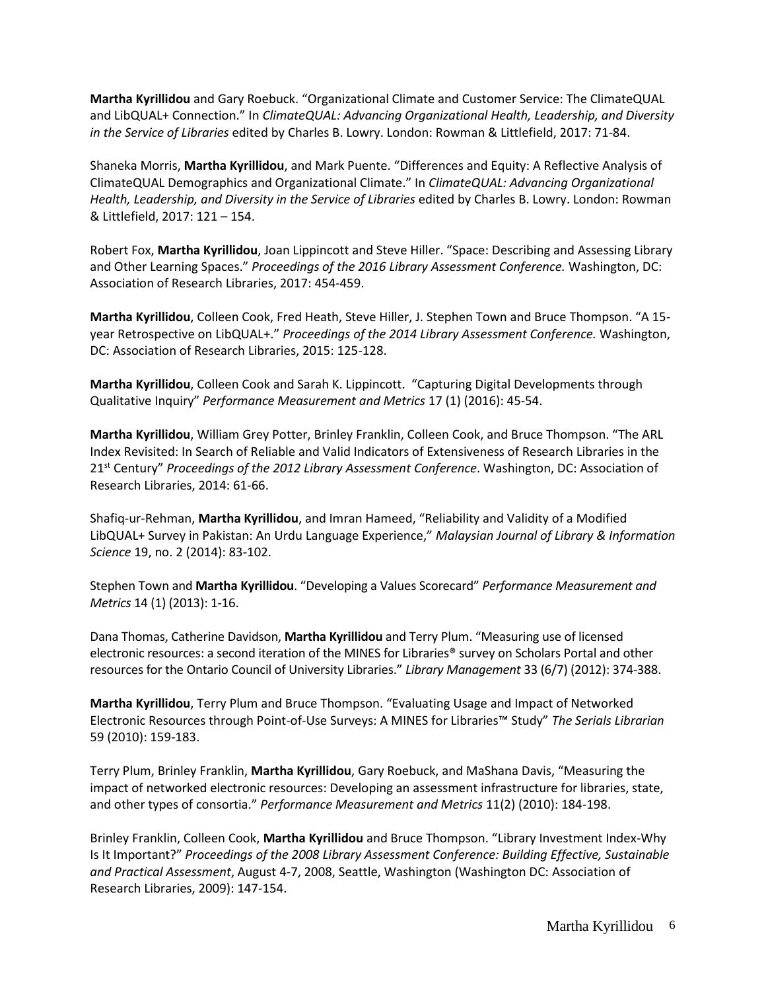**Martha Kyrillidou** and Gary Roebuck. "Organizational Climate and Customer Service: The ClimateQUAL and LibQUAL+ Connection." In *ClimateQUAL: Advancing Organizational Health, Leadership, and Diversity in the Service of Libraries* edited by Charles B. Lowry. London: Rowman & Littlefield, 2017: 71-84.

Shaneka Morris, **Martha Kyrillidou**, and Mark Puente. "Differences and Equity: A Reflective Analysis of ClimateQUAL Demographics and Organizational Climate." In *ClimateQUAL: Advancing Organizational Health, Leadership, and Diversity in the Service of Libraries* edited by Charles B. Lowry. London: Rowman & Littlefield, 2017: 121 – 154.

Robert Fox, **Martha Kyrillidou**, Joan Lippincott and Steve Hiller. "Space: Describing and Assessing Library and Other Learning Spaces." *Proceedings of the 2016 Library Assessment Conference.* Washington, DC: Association of Research Libraries, 2017: 454-459.

**Martha Kyrillidou**, Colleen Cook, Fred Heath, Steve Hiller, J. Stephen Town and Bruce Thompson. "A 15 year Retrospective on LibQUAL+." *Proceedings of the 2014 Library Assessment Conference.* Washington, DC: Association of Research Libraries, 2015: 125-128.

**Martha Kyrillidou**, Colleen Cook and Sarah K. Lippincott. "Capturing Digital Developments through Qualitative Inquiry" *Performance Measurement and Metrics* 17 (1) (2016): 45-54.

**Martha Kyrillidou**, William Grey Potter, Brinley Franklin, Colleen Cook, and Bruce Thompson. "The ARL Index Revisited: In Search of Reliable and Valid Indicators of Extensiveness of Research Libraries in the 21st Century" *Proceedings of the 2012 Library Assessment Conference*. Washington, DC: Association of Research Libraries, 2014: 61-66.

Shafiq-ur-Rehman, **Martha Kyrillidou**, and Imran Hameed, "Reliability and Validity of a Modified LibQUAL+ Survey in Pakistan: An Urdu Language Experience," *Malaysian Journal of Library & Information Science* 19, no. 2 (2014): 83-102.

Stephen Town and **Martha Kyrillidou**. "Developing a Values Scorecard" *Performance Measurement and Metrics* 14 (1) (2013): 1-16.

Dana Thomas, Catherine Davidson, **Martha Kyrillidou** and Terry Plum. "Measuring use of licensed electronic resources: a second iteration of the MINES for Libraries® survey on Scholars Portal and other resources for the Ontario Council of University Libraries." *Library Management* 33 (6/7) (2012): 374-388.

**Martha Kyrillidou**, Terry Plum and Bruce Thompson. "Evaluating Usage and Impact of Networked Electronic Resources through Point-of-Use Surveys: A MINES for Libraries™ Study" *The Serials Librarian* 59 (2010): 159-183.

Terry Plum, Brinley Franklin, **Martha Kyrillidou**, Gary Roebuck, and MaShana Davis, "Measuring the impact of networked electronic resources: Developing an assessment infrastructure for libraries, state, and other types of consortia." *Performance Measurement and Metrics* 11(2) (2010): 184-198.

Brinley Franklin, Colleen Cook, **Martha Kyrillidou** and Bruce Thompson. "Library Investment Index-Why Is It Important?" *Proceedings of the 2008 Library Assessment Conference: Building Effective, Sustainable and Practical Assessment*, August 4-7, 2008, Seattle, Washington (Washington DC: Association of Research Libraries, 2009): 147-154.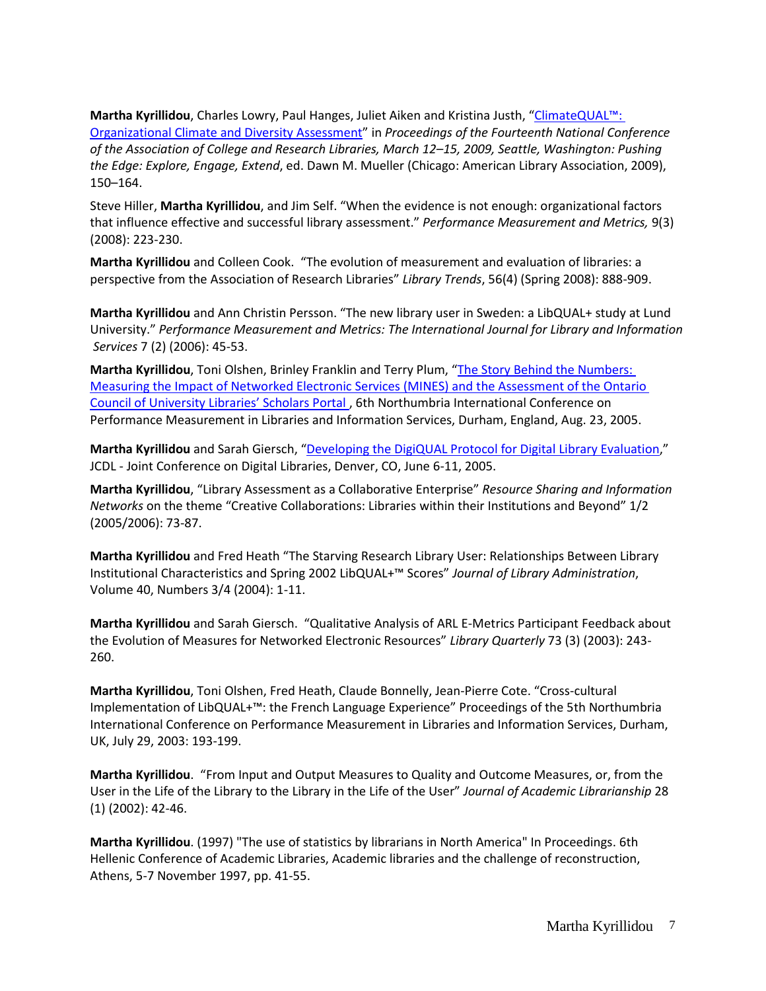**Martha Kyrillidou**, Charles Lowry, Paul Hanges, Juliet Aiken and Kristina Justh, ["ClimateQUAL™:](http://www.climatequal.org/bm~doc/kyrillidou_climatediversityassessment.pdf)  [Organizational Climate and Diversity Assessment](http://www.climatequal.org/bm~doc/kyrillidou_climatediversityassessment.pdf)" in *Proceedings of the Fourteenth National Conference of the Association of College and Research Libraries, March 12–15, 2009, Seattle, Washington: Pushing the Edge: Explore, Engage, Extend*, ed. Dawn M. Mueller (Chicago: American Library Association, 2009), 150–164.

Steve Hiller, **Martha Kyrillidou**, and Jim Self. "When the evidence is not enough: organizational factors that influence effective and successful library assessment." *Performance Measurement and Metrics,* 9(3) (2008): 223-230.

**Martha Kyrillidou** and Colleen Cook. "The evolution of measurement and evaluation of libraries: a perspective from the Association of Research Libraries" *Library Trends*, 56(4) (Spring 2008): 888-909.

**Martha Kyrillidou** and Ann Christin Persson. "The new library user in Sweden: a LibQUAL+ study at Lund University." *Performance Measurement and Metrics: The International Journal for Library and Information Services* 7 (2) (2006): 45-53.

**Martha Kyrillidou**, Toni Olshen, Brinley Franklin and Terry Plum, "[The Story Behind the Numbers:](http://www.libqual.org/documents/admin/Northumbria_2005MINES_sept20.doc)  [Measuring the Impact of Networked Electronic Services \(MINES\) and the Assessment of the Ontario](http://www.libqual.org/documents/admin/Northumbria_2005MINES_sept20.doc)  Council of Univers[ity Libraries' Scholars Portal](http://www.libqual.org/documents/admin/Northumbria_2005MINES_sept20.doc) , 6th Northumbria International Conference on Performance Measurement in Libraries and Information Services, Durham, England, Aug. 23, 2005.

**Martha Kyrillidou** and Sarah Giersch, "[Developing the DigiQUAL Protocol for Digital Library Evaluation,](http://www.libqual.org/documents/admin/digiqual-jcdl05-v5.pdf)" JCDL - Joint Conference on Digital Libraries, Denver, CO, June 6-11, 2005.

**Martha Kyrillidou**, "Library Assessment as a Collaborative Enterprise" *Resource Sharing and Information Networks* on the theme "Creative Collaborations: Libraries within their Institutions and Beyond" 1/2 (2005/2006): 73-87.

**Martha Kyrillidou** and Fred Heath "The Starving Research Library User: Relationships Between Library Institutional Characteristics and Spring 2002 LibQUAL+™ Scores" *Journal of Library Administration*, Volume 40, Numbers 3/4 (2004): 1-11.

**Martha Kyrillidou** and Sarah Giersch. "Qualitative Analysis of ARL E-Metrics Participant Feedback about the Evolution of Measures for Networked Electronic Resources" *Library Quarterly* 73 (3) (2003): 243- 260.

**Martha Kyrillidou**, Toni Olshen, Fred Heath, Claude Bonnelly, Jean-Pierre Cote. "Cross-cultural Implementation of LibQUAL+™: the French Language Experience" Proceedings of the 5th Northumbria International Conference on Performance Measurement in Libraries and Information Services, Durham, UK, July 29, 2003: 193-199.

**Martha Kyrillidou**. "From Input and Output Measures to Quality and Outcome Measures, or, from the User in the Life of the Library to the Library in the Life of the User" *Journal of Academic Librarianship* 28 (1) (2002): 42-46.

**Martha Kyrillidou**. (1997) "The use of statistics by librarians in North America" In Proceedings. 6th Hellenic Conference of Academic Libraries, Academic libraries and the challenge of reconstruction, Athens, 5-7 November 1997, pp. 41-55.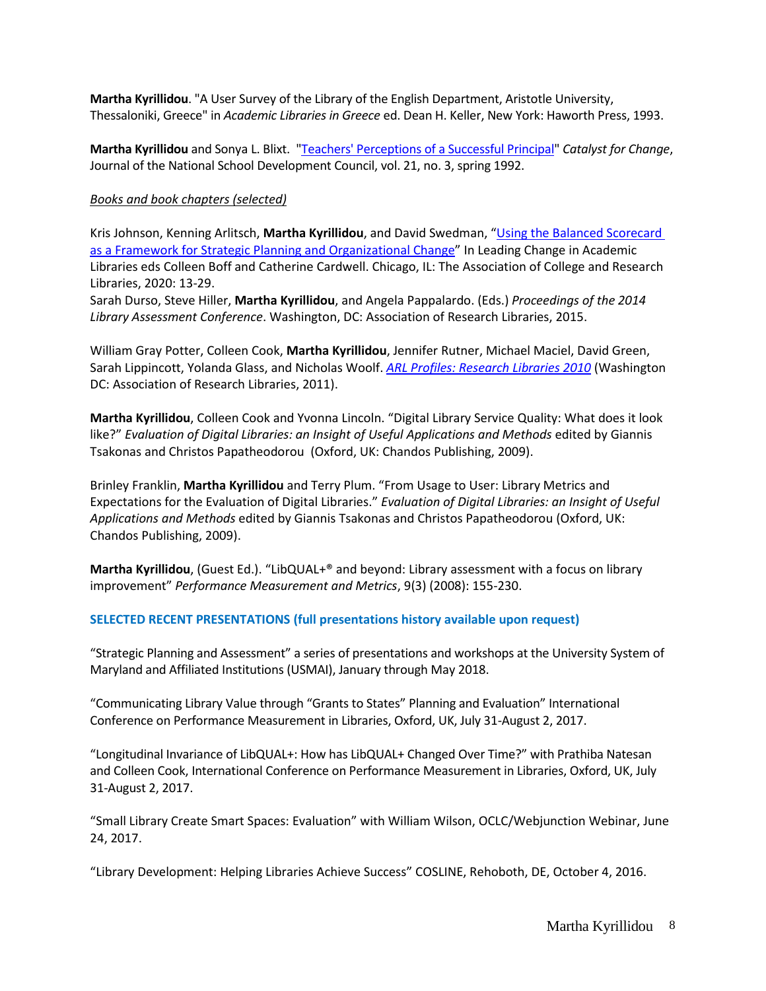**Martha Kyrillidou**. "A User Survey of the Library of the English Department, Aristotle University, Thessaloniki, Greece" in *Academic Libraries in Greece* ed. Dean H. Keller, New York: Haworth Press, 1993.

**Martha Kyrillidou** and Sonya L. Blixt. ["Teachers' Perceptions of a Successful Principal"](http://www.ed.psu.edu/catalyst/pdfs/Combined%20copies%20of%20Catalyst%20Archives/v21-i3-Combined.pdf) *Catalyst for Change*, Journal of the National School Development Council, vol. 21, no. 3, spring 1992.

## *Books and book chapters (selected)*

Kris Johnson, Kenning Arlitsch, **Martha Kyrillidou**, and David Swedman, "[Using the Balanced Scorecard](https://scholarworks.montana.edu/xmlui/handle/1/15840)  [as a Framework for Strategic Planning and](https://scholarworks.montana.edu/xmlui/handle/1/15840) Organizational Change" In Leading Change in Academic Libraries eds Colleen Boff and Catherine Cardwell. Chicago, IL: The Association of College and Research Libraries, 2020: 13-29.

Sarah Durso, Steve Hiller, **Martha Kyrillidou**, and Angela Pappalardo. (Eds.) *Proceedings of the 2014 Library Assessment Conference*. Washington, DC: Association of Research Libraries, 2015.

William Gray Potter, Colleen Cook, **Martha Kyrillidou**, Jennifer Rutner, Michael Maciel, David Green, Sarah Lippincott, Yolanda Glass, and Nicholas Woolf. *[ARL Profiles: Research Libraries 2010](http://www.arlstatistics.org/about/profiles)* (Washington DC: Association of Research Libraries, 2011).

**Martha Kyrillidou**, Colleen Cook and Yvonna Lincoln. "Digital Library Service Quality: What does it look like?" *Evaluation of Digital Libraries: an Insight of Useful Applications and Methods* edited by Giannis Tsakonas and Christos Papatheodorou (Oxford, UK: Chandos Publishing, 2009).

Brinley Franklin, **Martha Kyrillidou** and Terry Plum. "From Usage to User: Library Metrics and Expectations for the Evaluation of Digital Libraries." *Evaluation of Digital Libraries: an Insight of Useful Applications and Methods* edited by Giannis Tsakonas and Christos Papatheodorou (Oxford, UK: Chandos Publishing, 2009).

**Martha Kyrillidou**, (Guest Ed.). "LibQUAL+® and beyond: Library assessment with a focus on library improvement" *Performance Measurement and Metrics*, 9(3) (2008): 155-230.

## **SELECTED RECENT PRESENTATIONS (full presentations history available upon request)**

"Strategic Planning and Assessment" a series of presentations and workshops at the University System of Maryland and Affiliated Institutions (USMAI), January through May 2018.

"Communicating Library Value through "Grants to States" Planning and Evaluation" International Conference on Performance Measurement in Libraries, Oxford, UK, July 31-August 2, 2017.

"Longitudinal Invariance of LibQUAL+: How has LibQUAL+ Changed Over Time?" with Prathiba Natesan and Colleen Cook, International Conference on Performance Measurement in Libraries, Oxford, UK, July 31-August 2, 2017.

"Small Library Create Smart Spaces: Evaluation" with William Wilson, OCLC/Webjunction Webinar, June 24, 2017.

"Library Development: Helping Libraries Achieve Success" COSLINE, Rehoboth, DE, October 4, 2016.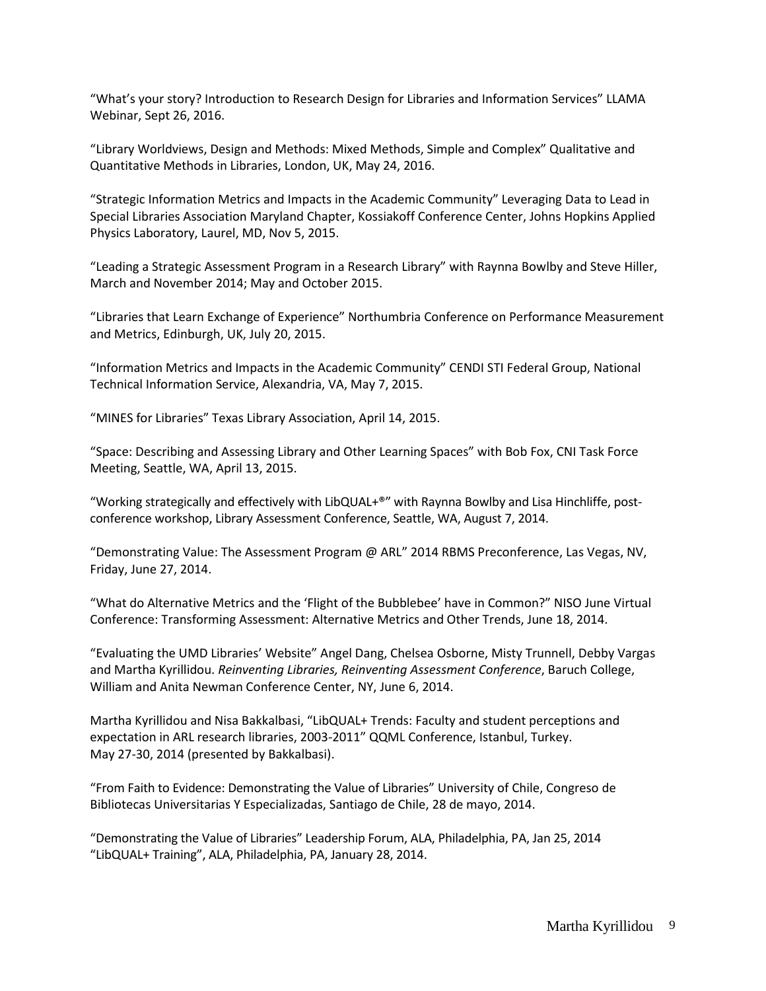"What's your story? Introduction to Research Design for Libraries and Information Services" LLAMA Webinar, Sept 26, 2016.

"Library Worldviews, Design and Methods: Mixed Methods, Simple and Complex" Qualitative and Quantitative Methods in Libraries, London, UK, May 24, 2016.

"Strategic Information Metrics and Impacts in the Academic Community" Leveraging Data to Lead in Special Libraries Association Maryland Chapter, Kossiakoff Conference Center, Johns Hopkins Applied Physics Laboratory, Laurel, MD, Nov 5, 2015.

"Leading a Strategic Assessment Program in a Research Library" with Raynna Bowlby and Steve Hiller, March and November 2014; May and October 2015.

"Libraries that Learn Exchange of Experience" Northumbria Conference on Performance Measurement and Metrics, Edinburgh, UK, July 20, 2015.

"Information Metrics and Impacts in the Academic Community" CENDI STI Federal Group, National Technical Information Service, Alexandria, VA, May 7, 2015.

"MINES for Libraries" Texas Library Association, April 14, 2015.

"Space: Describing and Assessing Library and Other Learning Spaces" with Bob Fox, CNI Task Force Meeting, Seattle, WA, April 13, 2015.

"Working strategically and effectively with LibQUAL+®" with Raynna Bowlby and Lisa Hinchliffe, postconference workshop, Library Assessment Conference, Seattle, WA, August 7, 2014.

"Demonstrating Value: The Assessment Program @ ARL" 2014 RBMS Preconference, Las Vegas, NV, Friday, June 27, 2014.

"What do Alternative Metrics and the 'Flight of the Bubblebee' have in Common?" NISO June Virtual Conference: Transforming Assessment: Alternative Metrics and Other Trends, June 18, 2014.

"Evaluating the UMD Libraries' Website" Angel Dang, Chelsea Osborne, Misty Trunnell, Debby Vargas and Martha Kyrillidou. *Reinventing Libraries, Reinventing Assessment Conference*, Baruch College, William and Anita Newman Conference Center, NY, June 6, 2014.

Martha Kyrillidou and Nisa Bakkalbasi, "LibQUAL+ Trends: Faculty and student perceptions and expectation in ARL research libraries, 2003-2011" QQML Conference, Istanbul, Turkey. May 27-30, 2014 (presented by Bakkalbasi).

"From Faith to Evidence: Demonstrating the Value of Libraries" University of Chile, Congreso de Bibliotecas Universitarias Y Especializadas, Santiago de Chile, 28 de mayo, 2014.

"Demonstrating the Value of Libraries" Leadership Forum, ALA, Philadelphia, PA, Jan 25, 2014 "LibQUAL+ Training", ALA, Philadelphia, PA, January 28, 2014.